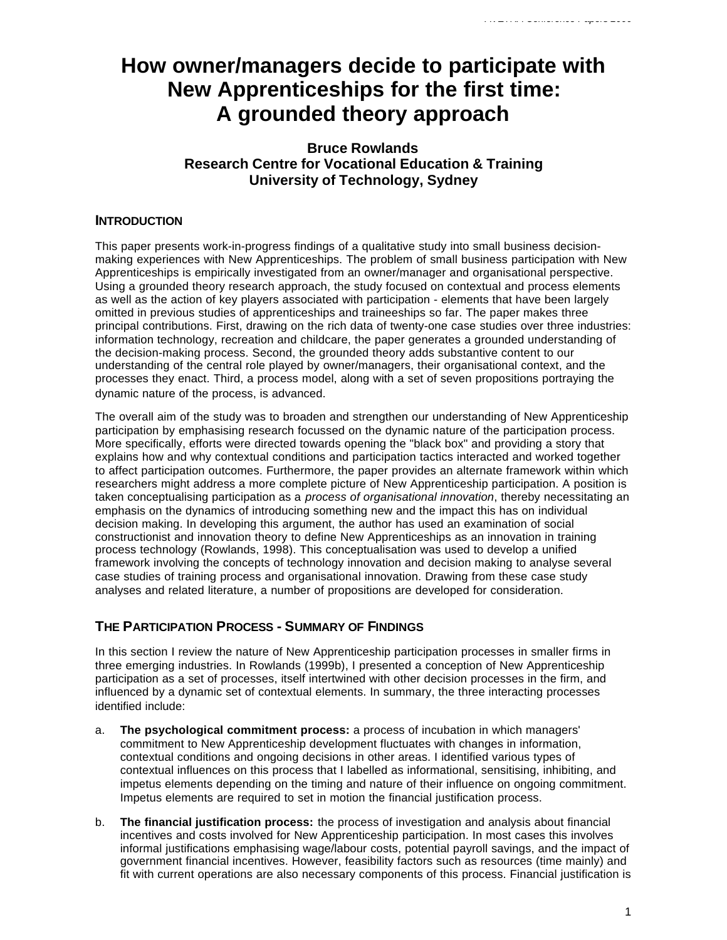# **How owner/managers decide to participate with New Apprenticeships for the first time: A grounded theory approach**

# **Bruce Rowlands Research Centre for Vocational Education & Training University of Technology, Sydney**

## **INTRODUCTION**

This paper presents work-in-progress findings of a qualitative study into small business decisionmaking experiences with New Apprenticeships. The problem of small business participation with New Apprenticeships is empirically investigated from an owner/manager and organisational perspective. Using a grounded theory research approach, the study focused on contextual and process elements as well as the action of key players associated with participation - elements that have been largely omitted in previous studies of apprenticeships and traineeships so far. The paper makes three principal contributions. First, drawing on the rich data of twenty-one case studies over three industries: information technology, recreation and childcare, the paper generates a grounded understanding of the decision-making process. Second, the grounded theory adds substantive content to our understanding of the central role played by owner/managers, their organisational context, and the processes they enact. Third, a process model, along with a set of seven propositions portraying the dynamic nature of the process, is advanced.

The overall aim of the study was to broaden and strengthen our understanding of New Apprenticeship participation by emphasising research focussed on the dynamic nature of the participation process. More specifically, efforts were directed towards opening the "black box" and providing a story that explains how and why contextual conditions and participation tactics interacted and worked together to affect participation outcomes. Furthermore, the paper provides an alternate framework within which researchers might address a more complete picture of New Apprenticeship participation. A position is taken conceptualising participation as a *process of organisational innovation*, thereby necessitating an emphasis on the dynamics of introducing something new and the impact this has on individual decision making. In developing this argument, the author has used an examination of social constructionist and innovation theory to define New Apprenticeships as an innovation in training process technology (Rowlands, 1998). This conceptualisation was used to develop a unified framework involving the concepts of technology innovation and decision making to analyse several case studies of training process and organisational innovation. Drawing from these case study analyses and related literature, a number of propositions are developed for consideration.

# **THE PARTICIPATION PROCESS - SUMMARY OF FINDINGS**

In this section I review the nature of New Apprenticeship participation processes in smaller firms in three emerging industries. In Rowlands (1999b), I presented a conception of New Apprenticeship participation as a set of processes, itself intertwined with other decision processes in the firm, and influenced by a dynamic set of contextual elements. In summary, the three interacting processes identified include:

- a. **The psychological commitment process:** a process of incubation in which managers' commitment to New Apprenticeship development fluctuates with changes in information, contextual conditions and ongoing decisions in other areas. I identified various types of contextual influences on this process that I labelled as informational, sensitising, inhibiting, and impetus elements depending on the timing and nature of their influence on ongoing commitment. Impetus elements are required to set in motion the financial justification process.
- b. **The financial justification process:** the process of investigation and analysis about financial incentives and costs involved for New Apprenticeship participation. In most cases this involves informal justifications emphasising wage/labour costs, potential payroll savings, and the impact of government financial incentives. However, feasibility factors such as resources (time mainly) and fit with current operations are also necessary components of this process. Financial justification is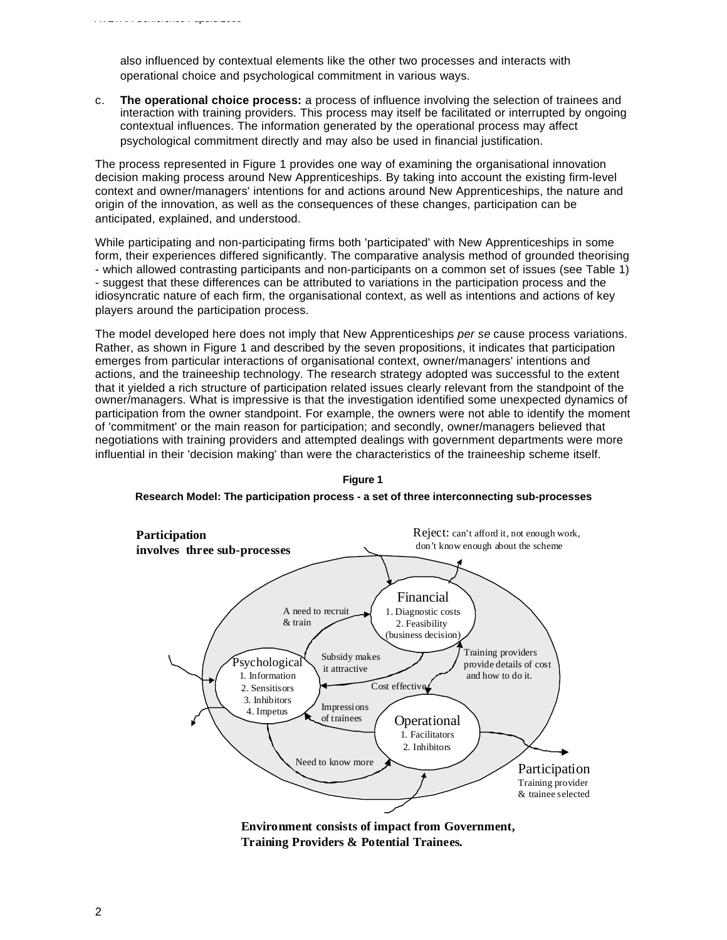also influenced by contextual elements like the other two processes and interacts with operational choice and psychological commitment in various ways.

*AVETRA Conference Papers 2000*

c. **The operational choice process:** a process of influence involving the selection of trainees and interaction with training providers. This process may itself be facilitated or interrupted by ongoing contextual influences. The information generated by the operational process may affect psychological commitment directly and may also be used in financial justification.

The process represented in Figure 1 provides one way of examining the organisational innovation decision making process around New Apprenticeships. By taking into account the existing firm-level context and owner/managers' intentions for and actions around New Apprenticeships, the nature and origin of the innovation, as well as the consequences of these changes, participation can be anticipated, explained, and understood.

While participating and non-participating firms both 'participated' with New Apprenticeships in some form, their experiences differed significantly. The comparative analysis method of grounded theorising - which allowed contrasting participants and non-participants on a common set of issues (see Table 1) - suggest that these differences can be attributed to variations in the participation process and the idiosyncratic nature of each firm, the organisational context, as well as intentions and actions of key players around the participation process.

The model developed here does not imply that New Apprenticeships *per se* cause process variations. Rather, as shown in Figure 1 and described by the seven propositions, it indicates that participation emerges from particular interactions of organisational context, owner/managers' intentions and actions, and the traineeship technology. The research strategy adopted was successful to the extent that it yielded a rich structure of participation related issues clearly relevant from the standpoint of the owner/managers. What is impressive is that the investigation identified some unexpected dynamics of participation from the owner standpoint. For example, the owners were not able to identify the moment of 'commitment' or the main reason for participation; and secondly, owner/managers believed that negotiations with training providers and attempted dealings with government departments were more influential in their 'decision making' than were the characteristics of the traineeship scheme itself.



**Figure 1 Research Model: The participation process - a set of three interconnecting sub-processes**

**Environment consists of impact from Government, Training Providers & Potential Trainees.**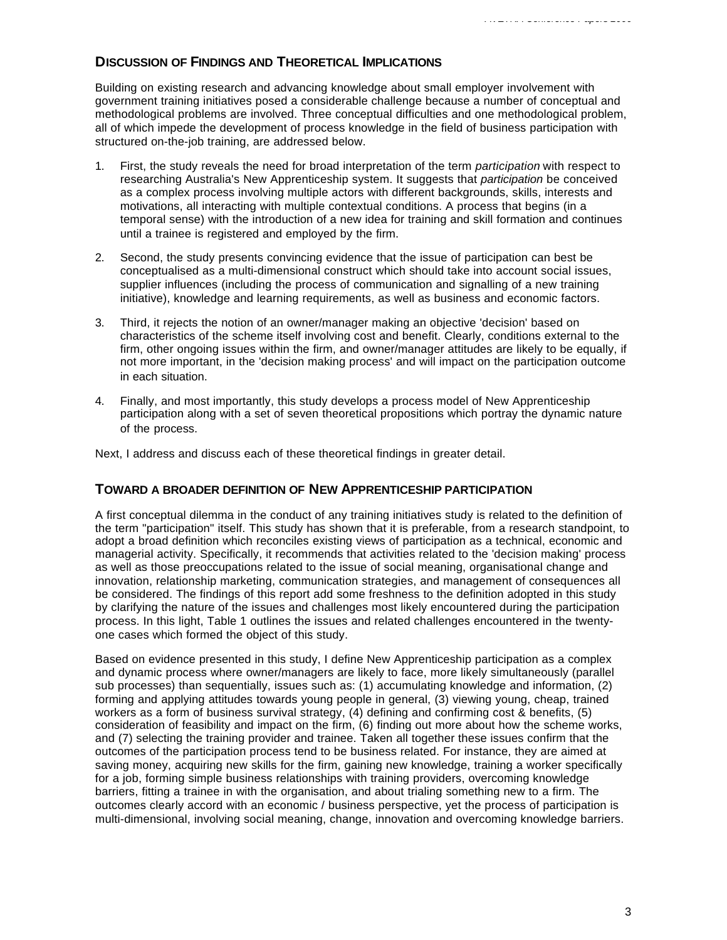## **DISCUSSION OF FINDINGS AND THEORETICAL IMPLICATIONS**

Building on existing research and advancing knowledge about small employer involvement with government training initiatives posed a considerable challenge because a number of conceptual and methodological problems are involved. Three conceptual difficulties and one methodological problem, all of which impede the development of process knowledge in the field of business participation with structured on-the-job training, are addressed below.

- 1. First, the study reveals the need for broad interpretation of the term *participation* with respect to researching Australia's New Apprenticeship system. It suggests that *participation* be conceived as a complex process involving multiple actors with different backgrounds, skills, interests and motivations, all interacting with multiple contextual conditions. A process that begins (in a temporal sense) with the introduction of a new idea for training and skill formation and continues until a trainee is registered and employed by the firm.
- 2. Second, the study presents convincing evidence that the issue of participation can best be conceptualised as a multi-dimensional construct which should take into account social issues, supplier influences (including the process of communication and signalling of a new training initiative), knowledge and learning requirements, as well as business and economic factors.
- 3. Third, it rejects the notion of an owner/manager making an objective 'decision' based on characteristics of the scheme itself involving cost and benefit. Clearly, conditions external to the firm, other ongoing issues within the firm, and owner/manager attitudes are likely to be equally, if not more important, in the 'decision making process' and will impact on the participation outcome in each situation.
- 4. Finally, and most importantly, this study develops a process model of New Apprenticeship participation along with a set of seven theoretical propositions which portray the dynamic nature of the process.

Next, I address and discuss each of these theoretical findings in greater detail.

#### **TOWARD A BROADER DEFINITION OF NEW APPRENTICESHIP PARTICIPATION**

A first conceptual dilemma in the conduct of any training initiatives study is related to the definition of the term "participation" itself. This study has shown that it is preferable, from a research standpoint, to adopt a broad definition which reconciles existing views of participation as a technical, economic and managerial activity. Specifically, it recommends that activities related to the 'decision making' process as well as those preoccupations related to the issue of social meaning, organisational change and innovation, relationship marketing, communication strategies, and management of consequences all be considered. The findings of this report add some freshness to the definition adopted in this study by clarifying the nature of the issues and challenges most likely encountered during the participation process. In this light, Table 1 outlines the issues and related challenges encountered in the twentyone cases which formed the object of this study.

Based on evidence presented in this study, I define New Apprenticeship participation as a complex and dynamic process where owner/managers are likely to face, more likely simultaneously (parallel sub processes) than sequentially, issues such as: (1) accumulating knowledge and information, (2) forming and applying attitudes towards young people in general, (3) viewing young, cheap, trained workers as a form of business survival strategy, (4) defining and confirming cost & benefits, (5) consideration of feasibility and impact on the firm, (6) finding out more about how the scheme works, and (7) selecting the training provider and trainee. Taken all together these issues confirm that the outcomes of the participation process tend to be business related. For instance, they are aimed at saving money, acquiring new skills for the firm, gaining new knowledge, training a worker specifically for a job, forming simple business relationships with training providers, overcoming knowledge barriers, fitting a trainee in with the organisation, and about trialing something new to a firm. The outcomes clearly accord with an economic / business perspective, yet the process of participation is multi-dimensional, involving social meaning, change, innovation and overcoming knowledge barriers.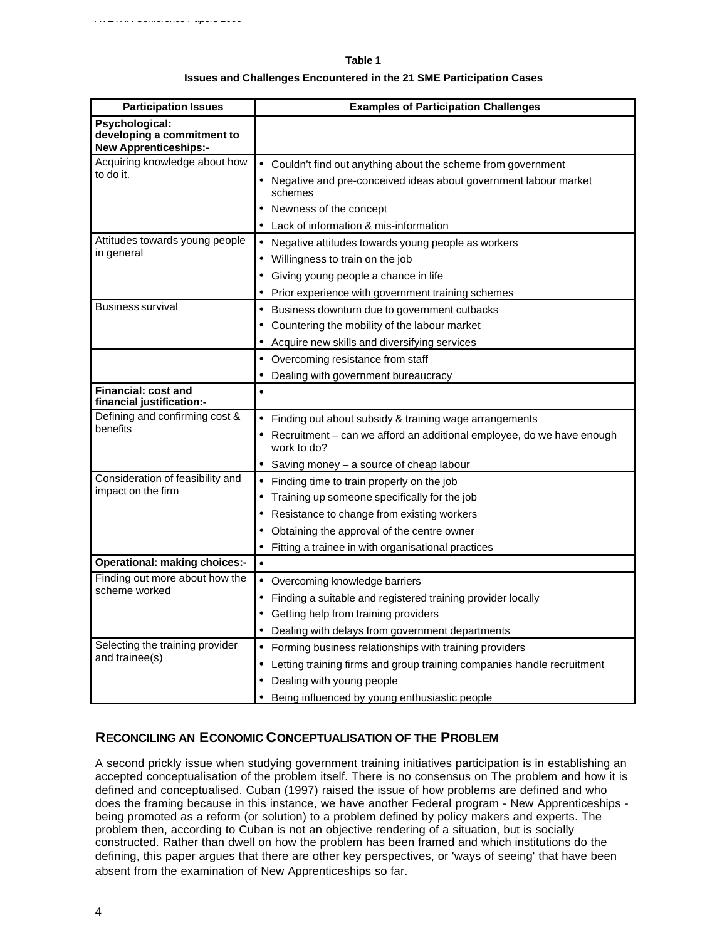#### **Table 1**

*AVETRA Conference Papers 2000*

#### **Issues and Challenges Encountered in the 21 SME Participation Cases**

| <b>Participation Issues</b>                                                  | <b>Examples of Participation Challenges</b>                                          |
|------------------------------------------------------------------------------|--------------------------------------------------------------------------------------|
| Psychological:<br>developing a commitment to<br><b>New Apprenticeships:-</b> |                                                                                      |
| Acquiring knowledge about how<br>to do it.                                   | • Couldn't find out anything about the scheme from government                        |
|                                                                              | • Negative and pre-conceived ideas about government labour market<br>schemes         |
|                                                                              | Newness of the concept                                                               |
|                                                                              | Lack of information & mis-information                                                |
| Attitudes towards young people<br>in general                                 | • Negative attitudes towards young people as workers                                 |
|                                                                              | Willingness to train on the job                                                      |
|                                                                              | Giving young people a chance in life                                                 |
|                                                                              | Prior experience with government training schemes<br>٠                               |
| <b>Business survival</b>                                                     | Business downturn due to government cutbacks<br>٠                                    |
|                                                                              | Countering the mobility of the labour market                                         |
|                                                                              | Acquire new skills and diversifying services<br>٠                                    |
|                                                                              | Overcoming resistance from staff                                                     |
|                                                                              | Dealing with government bureaucracy                                                  |
| <b>Financial: cost and</b><br>financial justification:-                      | $\bullet$                                                                            |
| Defining and confirming cost &<br>benefits                                   | Finding out about subsidy & training wage arrangements                               |
|                                                                              | Recruitment – can we afford an additional employee, do we have enough<br>work to do? |
|                                                                              | Saving money - a source of cheap labour                                              |
| Consideration of feasibility and<br>impact on the firm                       | Finding time to train properly on the job                                            |
|                                                                              | Training up someone specifically for the job                                         |
|                                                                              | Resistance to change from existing workers                                           |
|                                                                              | Obtaining the approval of the centre owner                                           |
|                                                                              | Fitting a trainee in with organisational practices                                   |
| <b>Operational: making choices:-</b>                                         |                                                                                      |
| Finding out more about how the<br>scheme worked                              | • Overcoming knowledge barriers                                                      |
|                                                                              | Finding a suitable and registered training provider locally                          |
|                                                                              | Getting help from training providers                                                 |
|                                                                              | Dealing with delays from government departments                                      |
| Selecting the training provider<br>and trainee(s)                            | Forming business relationships with training providers                               |
|                                                                              | Letting training firms and group training companies handle recruitment<br>٠          |
|                                                                              | Dealing with young people                                                            |
|                                                                              | Being influenced by young enthusiastic people<br>٠                                   |

## **RECONCILING AN ECONOMIC CONCEPTUALISATION OF THE PROBLEM**

A second prickly issue when studying government training initiatives participation is in establishing an accepted conceptualisation of the problem itself. There is no consensus on The problem and how it is defined and conceptualised. Cuban (1997) raised the issue of how problems are defined and who does the framing because in this instance, we have another Federal program - New Apprenticeships being promoted as a reform (or solution) to a problem defined by policy makers and experts. The problem then, according to Cuban is not an objective rendering of a situation, but is socially constructed. Rather than dwell on how the problem has been framed and which institutions do the defining, this paper argues that there are other key perspectives, or 'ways of seeing' that have been absent from the examination of New Apprenticeships so far.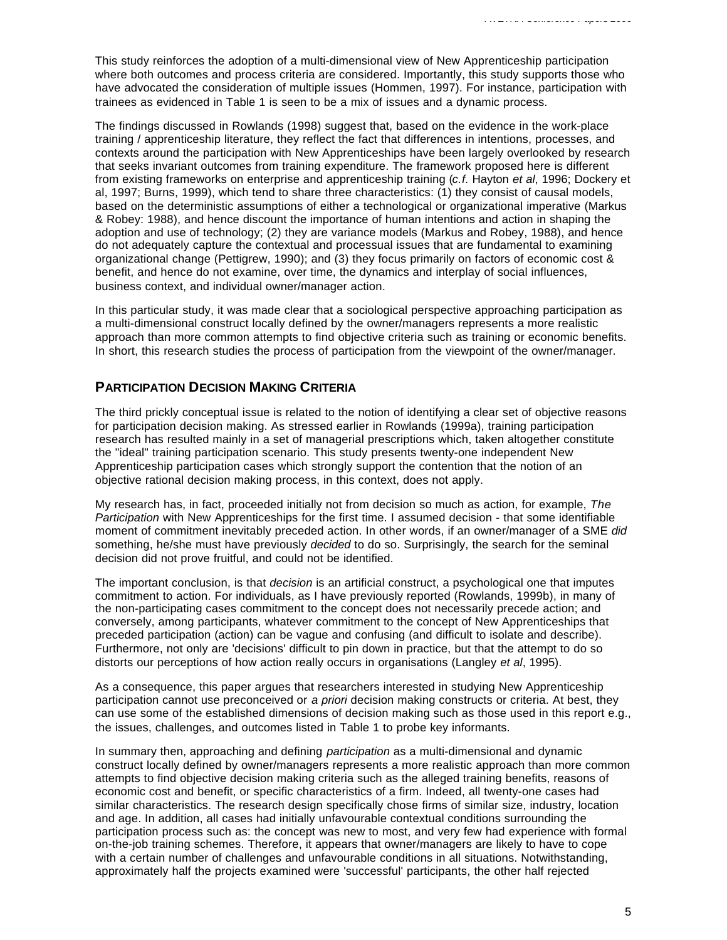This study reinforces the adoption of a multi-dimensional view of New Apprenticeship participation where both outcomes and process criteria are considered. Importantly, this study supports those who have advocated the consideration of multiple issues (Hommen, 1997). For instance, participation with trainees as evidenced in Table 1 is seen to be a mix of issues and a dynamic process.

The findings discussed in Rowlands (1998) suggest that, based on the evidence in the work-place training / apprenticeship literature, they reflect the fact that differences in intentions, processes, and contexts around the participation with New Apprenticeships have been largely overlooked by research that seeks invariant outcomes from training expenditure. The framework proposed here is different from existing frameworks on enterprise and apprenticeship training (*c.f.* Hayton *et al*, 1996; Dockery et al, 1997; Burns, 1999), which tend to share three characteristics: (1) they consist of causal models, based on the deterministic assumptions of either a technological or organizational imperative (Markus & Robey: 1988), and hence discount the importance of human intentions and action in shaping the adoption and use of technology; (2) they are variance models (Markus and Robey, 1988), and hence do not adequately capture the contextual and processual issues that are fundamental to examining organizational change (Pettigrew, 1990); and (3) they focus primarily on factors of economic cost & benefit, and hence do not examine, over time, the dynamics and interplay of social influences, business context, and individual owner/manager action.

In this particular study, it was made clear that a sociological perspective approaching participation as a multi-dimensional construct locally defined by the owner/managers represents a more realistic approach than more common attempts to find objective criteria such as training or economic benefits. In short, this research studies the process of participation from the viewpoint of the owner/manager.

## **PARTICIPATION DECISION MAKING CRITERIA**

The third prickly conceptual issue is related to the notion of identifying a clear set of objective reasons for participation decision making. As stressed earlier in Rowlands (1999a), training participation research has resulted mainly in a set of managerial prescriptions which, taken altogether constitute the "ideal" training participation scenario. This study presents twenty-one independent New Apprenticeship participation cases which strongly support the contention that the notion of an objective rational decision making process, in this context, does not apply.

My research has, in fact, proceeded initially not from decision so much as action, for example, *The Participation* with New Apprenticeships for the first time. I assumed decision - that some identifiable moment of commitment inevitably preceded action. In other words, if an owner/manager of a SME *did* something, he/she must have previously *decided* to do so. Surprisingly, the search for the seminal decision did not prove fruitful, and could not be identified.

The important conclusion, is that *decision* is an artificial construct, a psychological one that imputes commitment to action. For individuals, as I have previously reported (Rowlands, 1999b), in many of the non-participating cases commitment to the concept does not necessarily precede action; and conversely, among participants, whatever commitment to the concept of New Apprenticeships that preceded participation (action) can be vague and confusing (and difficult to isolate and describe). Furthermore, not only are 'decisions' difficult to pin down in practice, but that the attempt to do so distorts our perceptions of how action really occurs in organisations (Langley *et al*, 1995).

As a consequence, this paper argues that researchers interested in studying New Apprenticeship participation cannot use preconceived or *a priori* decision making constructs or criteria. At best, they can use some of the established dimensions of decision making such as those used in this report e.g., the issues, challenges, and outcomes listed in Table 1 to probe key informants.

In summary then, approaching and defining *participation* as a multi-dimensional and dynamic construct locally defined by owner/managers represents a more realistic approach than more common attempts to find objective decision making criteria such as the alleged training benefits, reasons of economic cost and benefit, or specific characteristics of a firm. Indeed, all twenty-one cases had similar characteristics. The research design specifically chose firms of similar size, industry, location and age. In addition, all cases had initially unfavourable contextual conditions surrounding the participation process such as: the concept was new to most, and very few had experience with formal on-the-job training schemes. Therefore, it appears that owner/managers are likely to have to cope with a certain number of challenges and unfavourable conditions in all situations. Notwithstanding, approximately half the projects examined were 'successful' participants, the other half rejected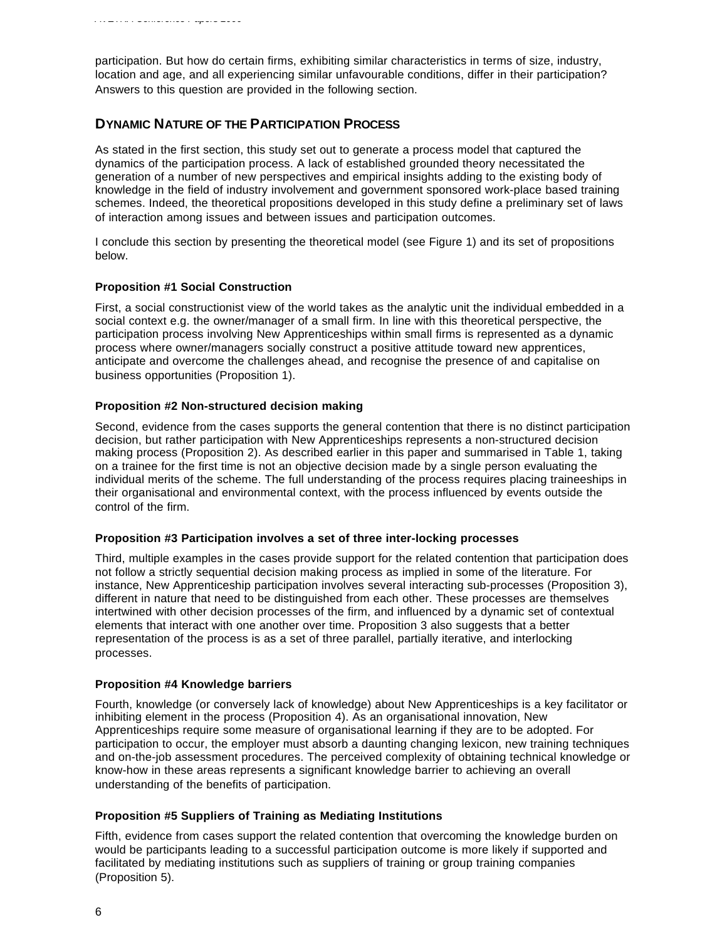participation. But how do certain firms, exhibiting similar characteristics in terms of size, industry, location and age, and all experiencing similar unfavourable conditions, differ in their participation? Answers to this question are provided in the following section.

## **DYNAMIC NATURE OF THE PARTICIPATION PROCESS**

As stated in the first section, this study set out to generate a process model that captured the dynamics of the participation process. A lack of established grounded theory necessitated the generation of a number of new perspectives and empirical insights adding to the existing body of knowledge in the field of industry involvement and government sponsored work-place based training schemes. Indeed, the theoretical propositions developed in this study define a preliminary set of laws of interaction among issues and between issues and participation outcomes.

I conclude this section by presenting the theoretical model (see Figure 1) and its set of propositions below.

### **Proposition #1 Social Construction**

First, a social constructionist view of the world takes as the analytic unit the individual embedded in a social context e.g. the owner/manager of a small firm. In line with this theoretical perspective, the participation process involving New Apprenticeships within small firms is represented as a dynamic process where owner/managers socially construct a positive attitude toward new apprentices, anticipate and overcome the challenges ahead, and recognise the presence of and capitalise on business opportunities (Proposition 1).

### **Proposition #2 Non-structured decision making**

Second, evidence from the cases supports the general contention that there is no distinct participation decision, but rather participation with New Apprenticeships represents a non-structured decision making process (Proposition 2). As described earlier in this paper and summarised in Table 1, taking on a trainee for the first time is not an objective decision made by a single person evaluating the individual merits of the scheme. The full understanding of the process requires placing traineeships in their organisational and environmental context, with the process influenced by events outside the control of the firm.

#### **Proposition #3 Participation involves a set of three inter-locking processes**

Third, multiple examples in the cases provide support for the related contention that participation does not follow a strictly sequential decision making process as implied in some of the literature. For instance, New Apprenticeship participation involves several interacting sub-processes (Proposition 3), different in nature that need to be distinguished from each other. These processes are themselves intertwined with other decision processes of the firm, and influenced by a dynamic set of contextual elements that interact with one another over time. Proposition 3 also suggests that a better representation of the process is as a set of three parallel, partially iterative, and interlocking processes.

#### **Proposition #4 Knowledge barriers**

Fourth, knowledge (or conversely lack of knowledge) about New Apprenticeships is a key facilitator or inhibiting element in the process (Proposition 4). As an organisational innovation, New Apprenticeships require some measure of organisational learning if they are to be adopted. For participation to occur, the employer must absorb a daunting changing lexicon, new training techniques and on-the-job assessment procedures. The perceived complexity of obtaining technical knowledge or know-how in these areas represents a significant knowledge barrier to achieving an overall understanding of the benefits of participation.

## **Proposition #5 Suppliers of Training as Mediating Institutions**

Fifth, evidence from cases support the related contention that overcoming the knowledge burden on would be participants leading to a successful participation outcome is more likely if supported and facilitated by mediating institutions such as suppliers of training or group training companies (Proposition 5).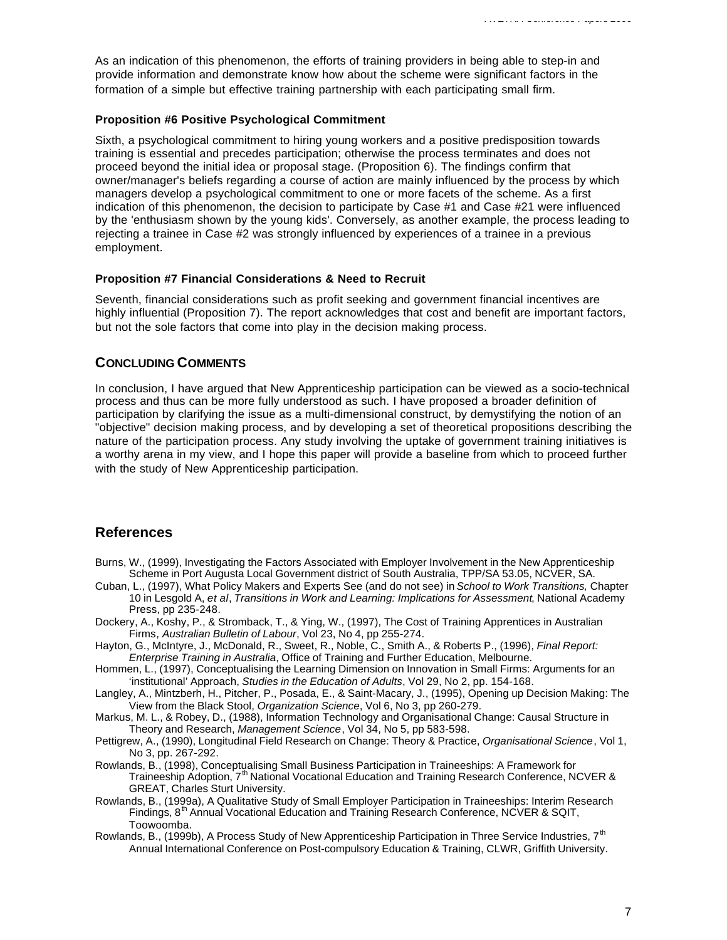As an indication of this phenomenon, the efforts of training providers in being able to step-in and provide information and demonstrate know how about the scheme were significant factors in the formation of a simple but effective training partnership with each participating small firm.

#### **Proposition #6 Positive Psychological Commitment**

Sixth, a psychological commitment to hiring young workers and a positive predisposition towards training is essential and precedes participation; otherwise the process terminates and does not proceed beyond the initial idea or proposal stage. (Proposition 6). The findings confirm that owner/manager's beliefs regarding a course of action are mainly influenced by the process by which managers develop a psychological commitment to one or more facets of the scheme. As a first indication of this phenomenon, the decision to participate by Case #1 and Case #21 were influenced by the 'enthusiasm shown by the young kids'. Conversely, as another example, the process leading to rejecting a trainee in Case #2 was strongly influenced by experiences of a trainee in a previous employment.

#### **Proposition #7 Financial Considerations & Need to Recruit**

Seventh, financial considerations such as profit seeking and government financial incentives are highly influential (Proposition 7). The report acknowledges that cost and benefit are important factors, but not the sole factors that come into play in the decision making process.

### **CONCLUDING COMMENTS**

In conclusion, I have argued that New Apprenticeship participation can be viewed as a socio-technical process and thus can be more fully understood as such. I have proposed a broader definition of participation by clarifying the issue as a multi-dimensional construct, by demystifying the notion of an "objective" decision making process, and by developing a set of theoretical propositions describing the nature of the participation process. Any study involving the uptake of government training initiatives is a worthy arena in my view, and I hope this paper will provide a baseline from which to proceed further with the study of New Apprenticeship participation.

## **References**

- Burns, W., (1999), Investigating the Factors Associated with Employer Involvement in the New Apprenticeship Scheme in Port Augusta Local Government district of South Australia, TPP/SA 53.05, NCVER, SA.
- Cuban, L., (1997), What Policy Makers and Experts See (and do not see) in *School to Work Transitions,* Chapter 10 in Lesgold A, *et al*, *Transitions in Work and Learning: Implications for Assessment*, National Academy Press, pp 235-248.
- Dockery, A., Koshy, P., & Stromback, T., & Ying, W., (1997), The Cost of Training Apprentices in Australian Firms*, Australian Bulletin of Labour*, Vol 23, No 4, pp 255-274.
- Hayton, G., McIntyre, J., McDonald, R., Sweet, R., Noble, C., Smith A., & Roberts P., (1996), *Final Report: Enterprise Training in Australia*, Office of Training and Further Education, Melbourne.
- Hommen, L., (1997), Conceptualising the Learning Dimension on Innovation in Small Firms: Arguments for an 'institutional' Approach, *Studies in the Education of Adults*, Vol 29, No 2, pp. 154-168.
- Langley, A., Mintzberh, H., Pitcher, P., Posada, E., & Saint-Macary, J., (1995), Opening up Decision Making: The View from the Black Stool, *Organization Science*, Vol 6, No 3, pp 260-279.
- Markus, M. L., & Robey, D., (1988), Information Technology and Organisational Change: Causal Structure in Theory and Research, *Management Science*, Vol 34, No 5, pp 583-598.
- Pettigrew, A., (1990), Longitudinal Field Research on Change: Theory & Practice, *Organisational Science*, Vol 1, No 3, pp. 267-292.
- Rowlands, B., (1998), Conceptualising Small Business Participation in Traineeships: A Framework for Traineeship Adoption, 7<sup>th</sup> National Vocational Education and Training Research Conference, NCVER & GREAT, Charles Sturt University.
- Rowlands, B., (1999a), A Qualitative Study of Small Employer Participation in Traineeships: Interim Research Findings, 8<sup>th</sup> Annual Vocational Education and Training Research Conference, NCVER & SQIT, Toowoomba.
- Rowlands, B., (1999b), A Process Study of New Apprenticeship Participation in Three Service Industries, 7<sup>th</sup> Annual International Conference on Post-compulsory Education & Training, CLWR, Griffith University.